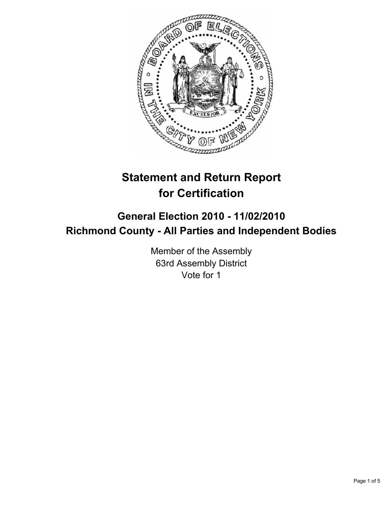

# **Statement and Return Report for Certification**

# **General Election 2010 - 11/02/2010 Richmond County - All Parties and Independent Bodies**

Member of the Assembly 63rd Assembly District Vote for 1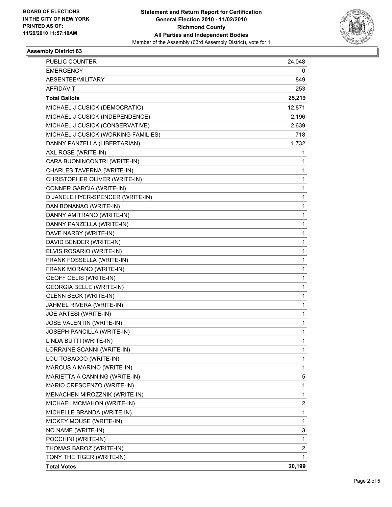

## **Assembly District 63**

| PUBLIC COUNTER                      | 24,048      |
|-------------------------------------|-------------|
| <b>EMERGENCY</b>                    | 0           |
| ABSENTEE/MILITARY                   | 849         |
| <b>AFFIDAVIT</b>                    | 253         |
| <b>Total Ballots</b>                | 25,219      |
| MICHAEL J CUSICK (DEMOCRATIC)       | 12,871      |
| MICHAEL J CUSICK (INDEPENDENCE)     | 2,196       |
| MICHAEL J CUSICK (CONSERVATIVE)     | 2,639       |
| MICHAEL J CUSICK (WORKING FAMILIES) | 718         |
| DANNY PANZELLA (LIBERTARIAN)        | 1,732       |
| AXL ROSE (WRITE-IN)                 | 1           |
| CARA BUONINCONTRI (WRITE-IN)        | 1           |
| CHARLES TAVERNA (WRITE-IN)          | 1           |
| CHRISTOPHER OLIVER (WRITE-IN)       | 1           |
| CONNER GARCIA (WRITE-IN)            | 1           |
| D JANELE HYER-SPENCER (WRITE-IN)    | 1           |
| DAN BONANAO (WRITE-IN)              | 1           |
| DANNY AMITRANO (WRITE-IN)           | 1           |
| DANNY PANZELLA (WRITE-IN)           | 1           |
| DAVE NARBY (WRITE-IN)               | 1           |
| DAVID BENDER (WRITE-IN)             | 1           |
| ELVIS ROSARIO (WRITE-IN)            | 1           |
| FRANK FOSSELLA (WRITE-IN)           | 1           |
| FRANK MORANO (WRITE-IN)             | 1           |
| <b>GEOFF CELIS (WRITE-IN)</b>       | 1           |
| <b>GEORGIA BELLE (WRITE-IN)</b>     | 1           |
| <b>GLENN BECK (WRITE-IN)</b>        | 1           |
| JAHMEL RIVERA (WRITE-IN)            | 1           |
| JOE ARTESI (WRITE-IN)               | 1           |
| JOSE VALENTIN (WRITE-IN)            | 1           |
| JOSEPH PANCILLA (WRITE-IN)          | $\mathbf 1$ |
| LINDA BUTTI (WRITE-IN)              | 1           |
| LORRAINE SCANNI (WRITE-IN)          | 1           |
| LOU TOBACCO (WRITE-IN)              | 1           |
| MARCUS A MARINO (WRITE-IN)          | 1           |
| MARIETTA A CANNING (WRITE-IN)       | 5           |
| MARIO CRESCENZO (WRITE-IN)          | 1           |
| MENACHEN MIROZZNIK (WRITE-IN)       | 1           |
| MICHAEL MCMAHON (WRITE-IN)          | 2           |
| MICHELLE BRANDA (WRITE-IN)          | 1           |
| MICKEY MOUSE (WRITE-IN)             | 1           |
| NO NAME (WRITE-IN)                  | 3           |
| POCCHINI (WRITE-IN)                 | 1           |
| THOMAS BAROZ (WRITE-IN)             | 2           |
| TONY THE TIGER (WRITE-IN)           | 1           |
| <b>Total Votes</b>                  | 20,199      |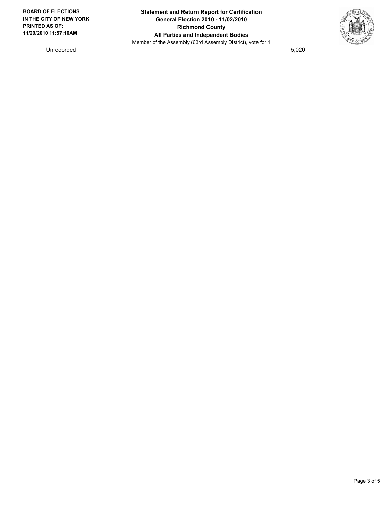

Unrecorded 5,020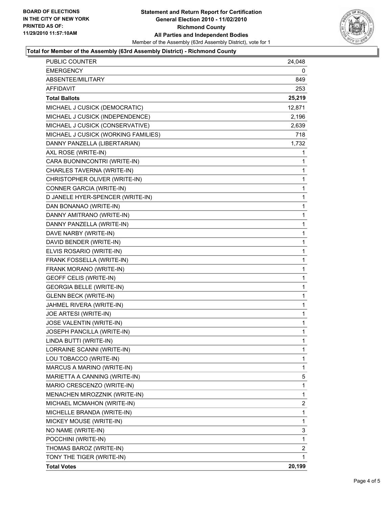

### **Total for Member of the Assembly (63rd Assembly District) - Richmond County**

| <b>PUBLIC COUNTER</b>               | 24,048       |
|-------------------------------------|--------------|
| <b>EMERGENCY</b>                    | 0            |
| ABSENTEE/MILITARY                   | 849          |
| AFFIDAVIT                           | 253          |
| <b>Total Ballots</b>                | 25,219       |
| MICHAEL J CUSICK (DEMOCRATIC)       | 12,871       |
| MICHAEL J CUSICK (INDEPENDENCE)     | 2,196        |
| MICHAEL J CUSICK (CONSERVATIVE)     | 2,639        |
| MICHAEL J CUSICK (WORKING FAMILIES) | 718          |
| DANNY PANZELLA (LIBERTARIAN)        | 1,732        |
| AXL ROSE (WRITE-IN)                 | 1            |
| CARA BUONINCONTRI (WRITE-IN)        | 1            |
| CHARLES TAVERNA (WRITE-IN)          | 1            |
| CHRISTOPHER OLIVER (WRITE-IN)       | 1            |
| CONNER GARCIA (WRITE-IN)            | $\mathbf{1}$ |
| D JANELE HYER-SPENCER (WRITE-IN)    | 1            |
| DAN BONANAO (WRITE-IN)              | 1            |
| DANNY AMITRANO (WRITE-IN)           | $\mathbf{1}$ |
| DANNY PANZELLA (WRITE-IN)           | 1            |
| DAVE NARBY (WRITE-IN)               | 1            |
| DAVID BENDER (WRITE-IN)             | $\mathbf{1}$ |
| ELVIS ROSARIO (WRITE-IN)            | 1            |
| FRANK FOSSELLA (WRITE-IN)           | 1            |
| FRANK MORANO (WRITE-IN)             | $\mathbf{1}$ |
| <b>GEOFF CELIS (WRITE-IN)</b>       | 1            |
| <b>GEORGIA BELLE (WRITE-IN)</b>     | 1            |
| <b>GLENN BECK (WRITE-IN)</b>        | $\mathbf{1}$ |
| JAHMEL RIVERA (WRITE-IN)            | 1            |
| JOE ARTESI (WRITE-IN)               | 1            |
| JOSE VALENTIN (WRITE-IN)            | $\mathbf{1}$ |
| <b>JOSEPH PANCILLA (WRITE-IN)</b>   | 1            |
| LINDA BUTTI (WRITE-IN)              | 1            |
| LORRAINE SCANNI (WRITE-IN)          | 1            |
| LOU TOBACCO (WRITE-IN)              | 1            |
| MARCUS A MARINO (WRITE-IN)          | 1            |
| MARIETTA A CANNING (WRITE-IN)       | 5            |
| MARIO CRESCENZO (WRITE-IN)          | 1            |
| MENACHEN MIROZZNIK (WRITE-IN)       | 1            |
| MICHAEL MCMAHON (WRITE-IN)          | 2            |
| MICHELLE BRANDA (WRITE-IN)          | 1            |
| MICKEY MOUSE (WRITE-IN)             | 1            |
| NO NAME (WRITE-IN)                  | 3            |
| POCCHINI (WRITE-IN)                 | 1            |
| THOMAS BAROZ (WRITE-IN)             | 2            |
| TONY THE TIGER (WRITE-IN)           | 1            |
| <b>Total Votes</b>                  | 20,199       |